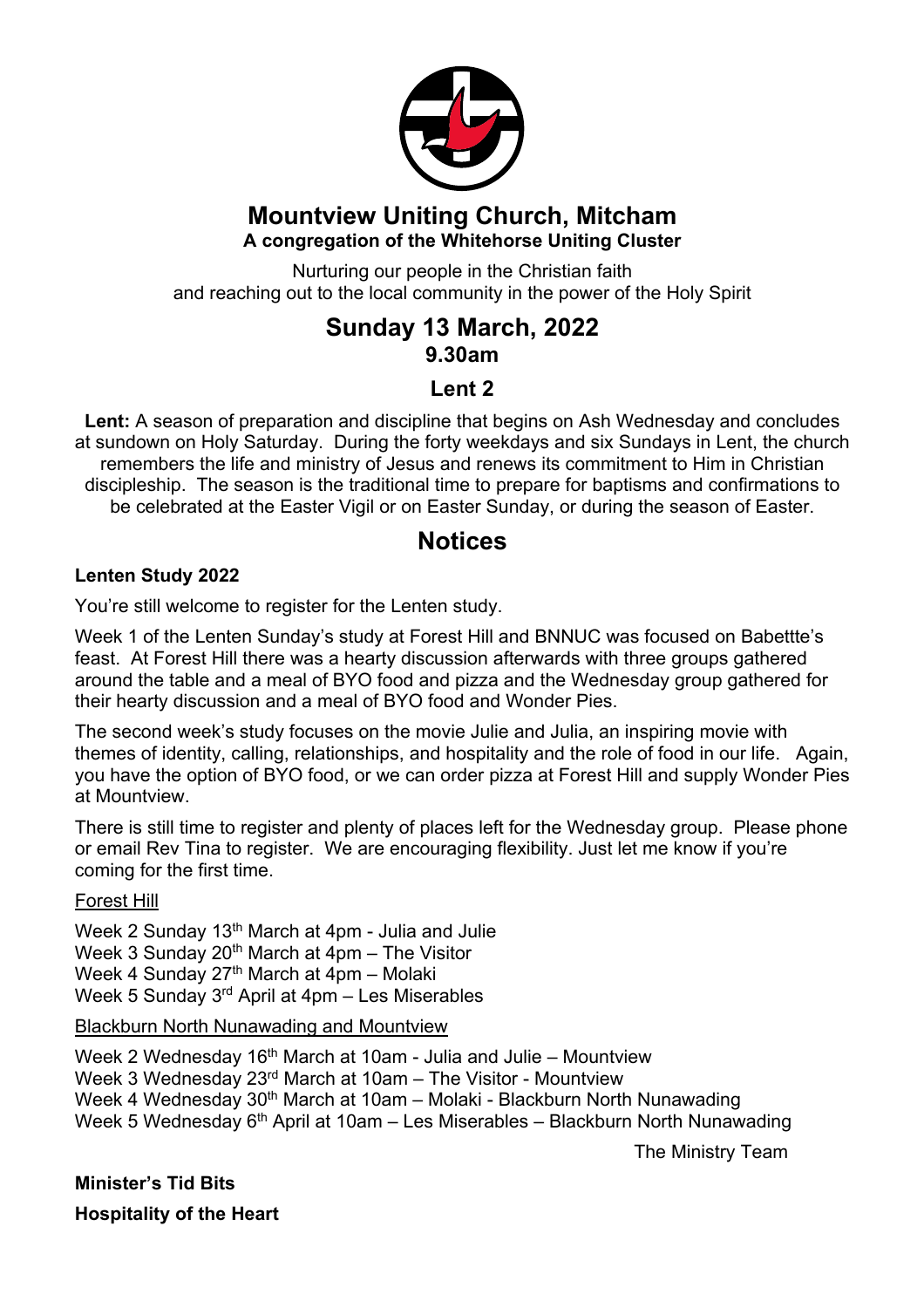

#### **Mountview Uniting Church, Mitcham A congregation of the Whitehorse Uniting Cluster**

Nurturing our people in the Christian faith and reaching out to the local community in the power of the Holy Spirit

## **Sunday 13 March, 2022 9.30am**

### **Lent 2**

**Lent:** A season of preparation and discipline that begins on Ash Wednesday and concludes at sundown on Holy Saturday. During the forty weekdays and six Sundays in Lent, the church remembers the life and ministry of Jesus and renews its commitment to Him in Christian discipleship. The season is the traditional time to prepare for baptisms and confirmations to be celebrated at the Easter Vigil or on Easter Sunday, or during the season of Easter.

### **Notices**

#### **Lenten Study 2022**

You're still welcome to register for the Lenten study.

Week 1 of the Lenten Sunday's study at Forest Hill and BNNUC was focused on Babettte's feast. At Forest Hill there was a hearty discussion afterwards with three groups gathered around the table and a meal of BYO food and pizza and the Wednesday group gathered for their hearty discussion and a meal of BYO food and Wonder Pies.

The second week's study focuses on the movie Julie and Julia, an inspiring movie with themes of identity, calling, relationships, and hospitality and the role of food in our life. Again, you have the option of BYO food, or we can order pizza at Forest Hill and supply Wonder Pies at Mountview.

There is still time to register and plenty of places left for the Wednesday group. Please phone or email Rev Tina to register. We are encouraging flexibility. Just let me know if you're coming for the first time.

#### Forest Hill

Week 2 Sunday 13<sup>th</sup> March at 4pm - Julia and Julie Week 3 Sunday  $20<sup>th</sup>$  March at 4pm – The Visitor Week 4 Sunday  $27<sup>th</sup>$  March at 4pm – Molaki Week 5 Sunday 3rd April at 4pm – Les Miserables

#### Blackburn North Nunawading and Mountview

Week 2 Wednesday 16<sup>th</sup> March at 10am - Julia and Julie – Mountview Week 3 Wednesday 23rd March at 10am – The Visitor - Mountview Week 4 Wednesday 30<sup>th</sup> March at 10am – Molaki - Blackburn North Nunawading Week 5 Wednesday  $6<sup>th</sup>$  April at 10am – Les Miserables – Blackburn North Nunawading

The Ministry Team

**Minister's Tid Bits**

**Hospitality of the Heart**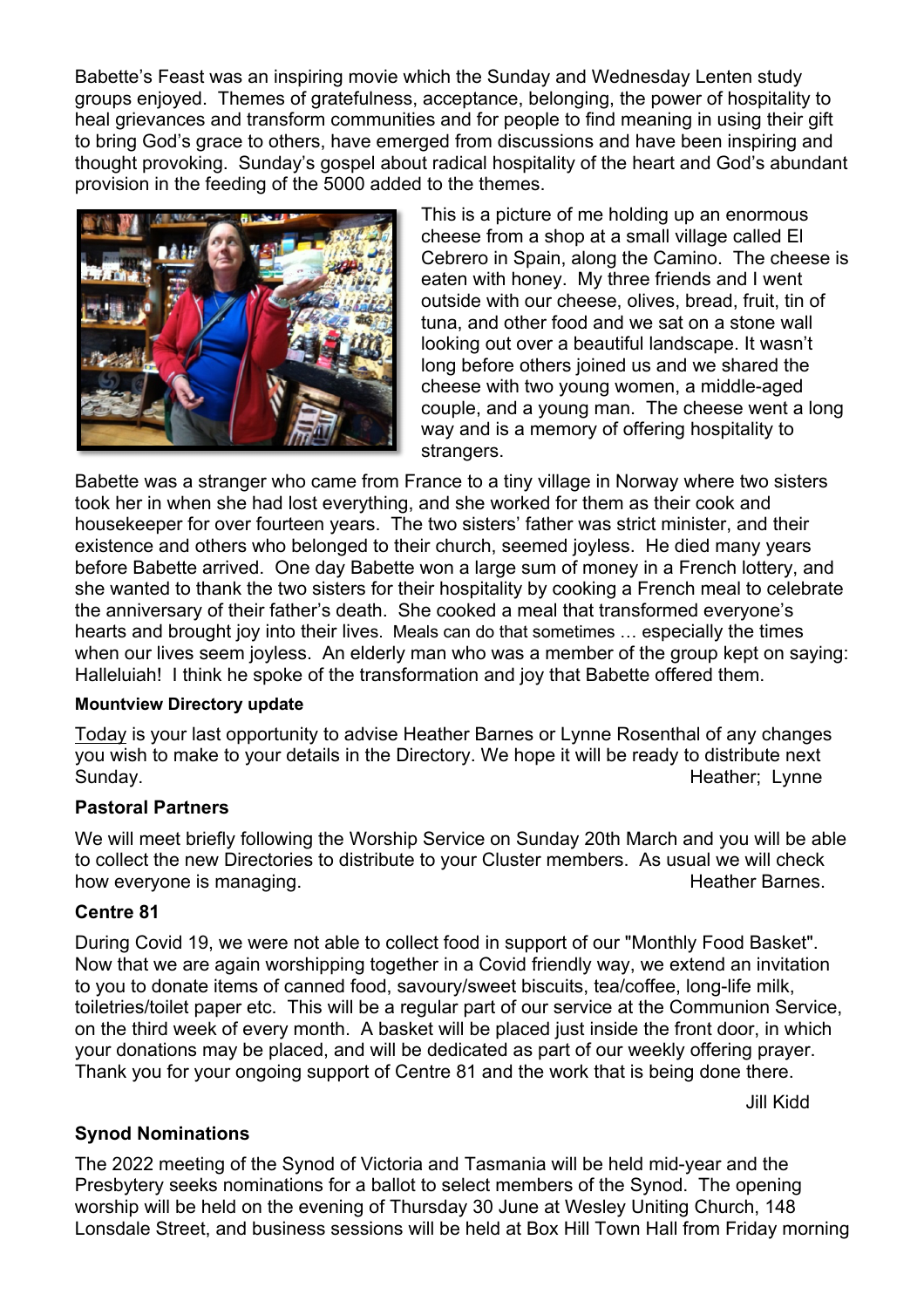Babette's Feast was an inspiring movie which the Sunday and Wednesday Lenten study groups enjoyed. Themes of gratefulness, acceptance, belonging, the power of hospitality to heal grievances and transform communities and for people to find meaning in using their gift to bring God's grace to others, have emerged from discussions and have been inspiring and thought provoking. Sunday's gospel about radical hospitality of the heart and God's abundant provision in the feeding of the 5000 added to the themes.



This is a picture of me holding up an enormous cheese from a shop at a small village called El Cebrero in Spain, along the Camino. The cheese is eaten with honey. My three friends and I went outside with our cheese, olives, bread, fruit, tin of tuna, and other food and we sat on a stone wall looking out over a beautiful landscape. It wasn't long before others joined us and we shared the cheese with two young women, a middle-aged couple, and a young man. The cheese went a long way and is a memory of offering hospitality to strangers.

Babette was a stranger who came from France to a tiny village in Norway where two sisters took her in when she had lost everything, and she worked for them as their cook and housekeeper for over fourteen years. The two sisters' father was strict minister, and their existence and others who belonged to their church, seemed joyless. He died many years before Babette arrived. One day Babette won a large sum of money in a French lottery, and she wanted to thank the two sisters for their hospitality by cooking a French meal to celebrate the anniversary of their father's death. She cooked a meal that transformed everyone's hearts and brought joy into their lives. Meals can do that sometimes … especially the times when our lives seem joyless. An elderly man who was a member of the group kept on saying: Halleluiah! I think he spoke of the transformation and joy that Babette offered them.

#### **Mountview Directory update**

Today is your last opportunity to advise Heather Barnes or Lynne Rosenthal of any changes you wish to make to your details in the Directory. We hope it will be ready to distribute next Sunday. **Example 20 Sunday.** The set of the set of the set of the set of the set of the set of the set of the set of the set of the set of the set of the set of the set of the set of the set of the set of the set of the se

#### **Pastoral Partners**

We will meet briefly following the Worship Service on Sunday 20th March and you will be able to collect the new Directories to distribute to your Cluster members. As usual we will check how everyone is managing. The state of the state of the Heather Barnes.

#### **Centre 81**

During Covid 19, we were not able to collect food in support of our "Monthly Food Basket". Now that we are again worshipping together in a Covid friendly way, we extend an invitation to you to donate items of canned food, savoury/sweet biscuits, tea/coffee, long-life milk, toiletries/toilet paper etc. This will be a regular part of our service at the Communion Service, on the third week of every month. A basket will be placed just inside the front door, in which your donations may be placed, and will be dedicated as part of our weekly offering prayer. Thank you for your ongoing support of Centre 81 and the work that is being done there.

Jill Kidd

#### **Synod Nominations**

The 2022 meeting of the Synod of Victoria and Tasmania will be held mid-year and the Presbytery seeks nominations for a ballot to select members of the Synod. The opening worship will be held on the evening of Thursday 30 June at Wesley Uniting Church, 148 Lonsdale Street, and business sessions will be held at Box Hill Town Hall from Friday morning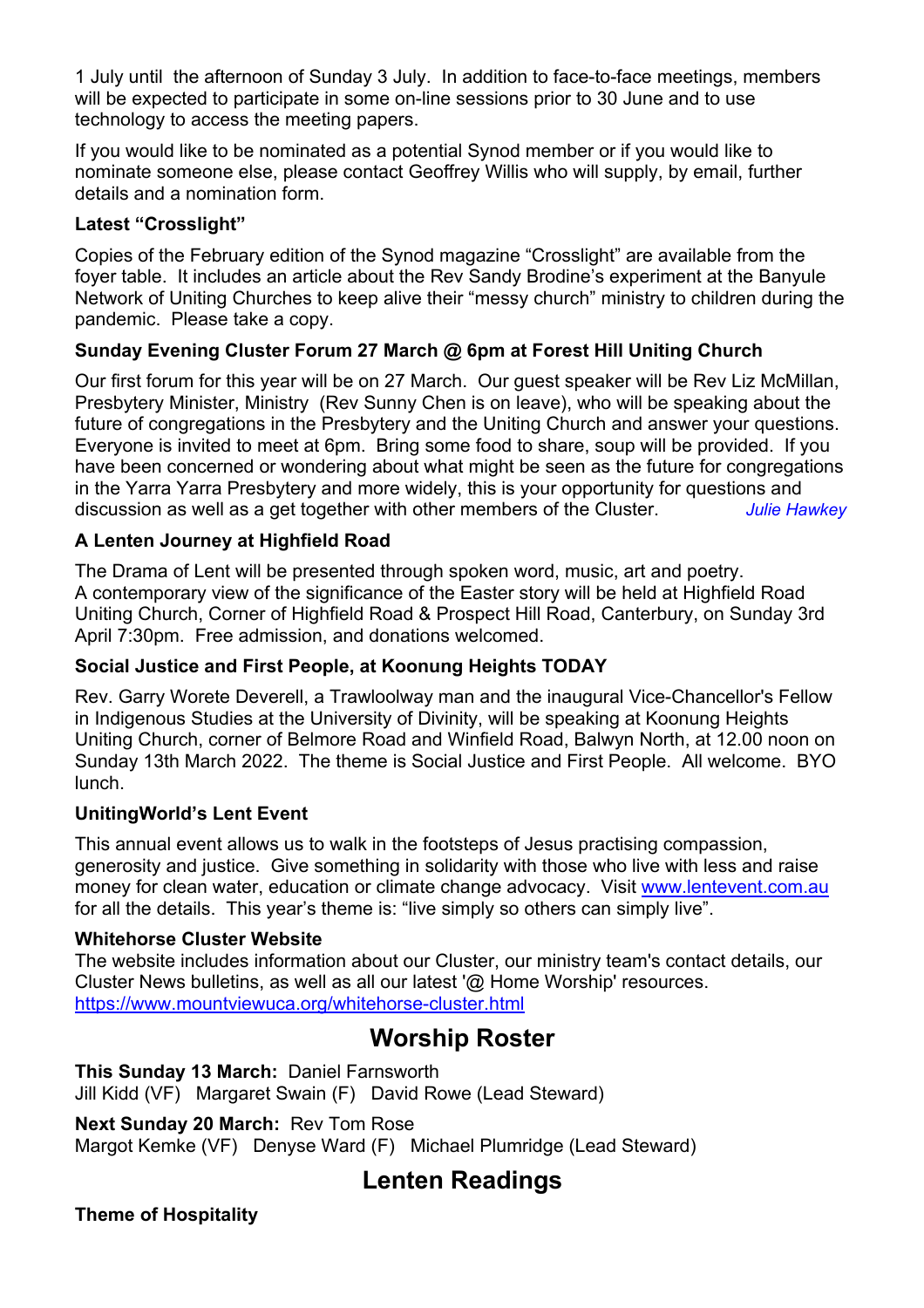1 July until the afternoon of Sunday 3 July. In addition to face-to-face meetings, members will be expected to participate in some on-line sessions prior to 30 June and to use technology to access the meeting papers.

If you would like to be nominated as a potential Synod member or if you would like to nominate someone else, please contact Geoffrey Willis who will supply, by email, further details and a nomination form.

#### **Latest "Crosslight"**

Copies of the February edition of the Synod magazine "Crosslight" are available from the foyer table. It includes an article about the Rev Sandy Brodine's experiment at the Banyule Network of Uniting Churches to keep alive their "messy church" ministry to children during the pandemic. Please take a copy.

#### **Sunday Evening Cluster Forum 27 March @ 6pm at Forest Hill Uniting Church**

Our first forum for this year will be on 27 March. Our guest speaker will be Rev Liz McMillan, Presbytery Minister, Ministry (Rev Sunny Chen is on leave), who will be speaking about the future of congregations in the Presbytery and the Uniting Church and answer your questions. Everyone is invited to meet at 6pm. Bring some food to share, soup will be provided. If you have been concerned or wondering about what might be seen as the future for congregations in the Yarra Yarra Presbytery and more widely, this is your opportunity for questions and discussion as well as a get together with other members of the Cluster. *Julie Hawkey*

#### **A Lenten Journey at Highfield Road**

The Drama of Lent will be presented through spoken word, music, art and poetry. A contemporary view of the significance of the Easter story will be held at Highfield Road Uniting Church, Corner of Highfield Road & Prospect Hill Road, Canterbury, on Sunday 3rd April 7:30pm. Free admission, and donations welcomed.

#### **Social Justice and First People, at Koonung Heights TODAY**

Rev. Garry Worete Deverell, a Trawloolway man and the inaugural Vice-Chancellor's Fellow in Indigenous Studies at the University of Divinity, will be speaking at Koonung Heights Uniting Church, corner of Belmore Road and Winfield Road, Balwyn North, at 12.00 noon on Sunday 13th March 2022. The theme is Social Justice and First People. All welcome. BYO lunch.

#### **UnitingWorld's Lent Event**

This annual event allows us to walk in the footsteps of Jesus practising compassion, generosity and justice. Give something in solidarity with those who live with less and raise money for clean water, education or climate change advocacy. Visit www.lentevent.com.au for all the details. This year's theme is: "live simply so others can simply live".

#### **Whitehorse Cluster Website**

The website includes information about our Cluster, our ministry team's contact details, our Cluster News bulletins, as well as all our latest '@ Home Worship' resources. https://www.mountviewuca.org/whitehorse-cluster.html

## **Worship Roster**

**This Sunday 13 March:** Daniel Farnsworth Jill Kidd (VF) Margaret Swain (F) David Rowe (Lead Steward)

**Next Sunday 20 March:** Rev Tom Rose Margot Kemke (VF) Denyse Ward (F) Michael Plumridge (Lead Steward)

# **Lenten Readings**

**Theme of Hospitality**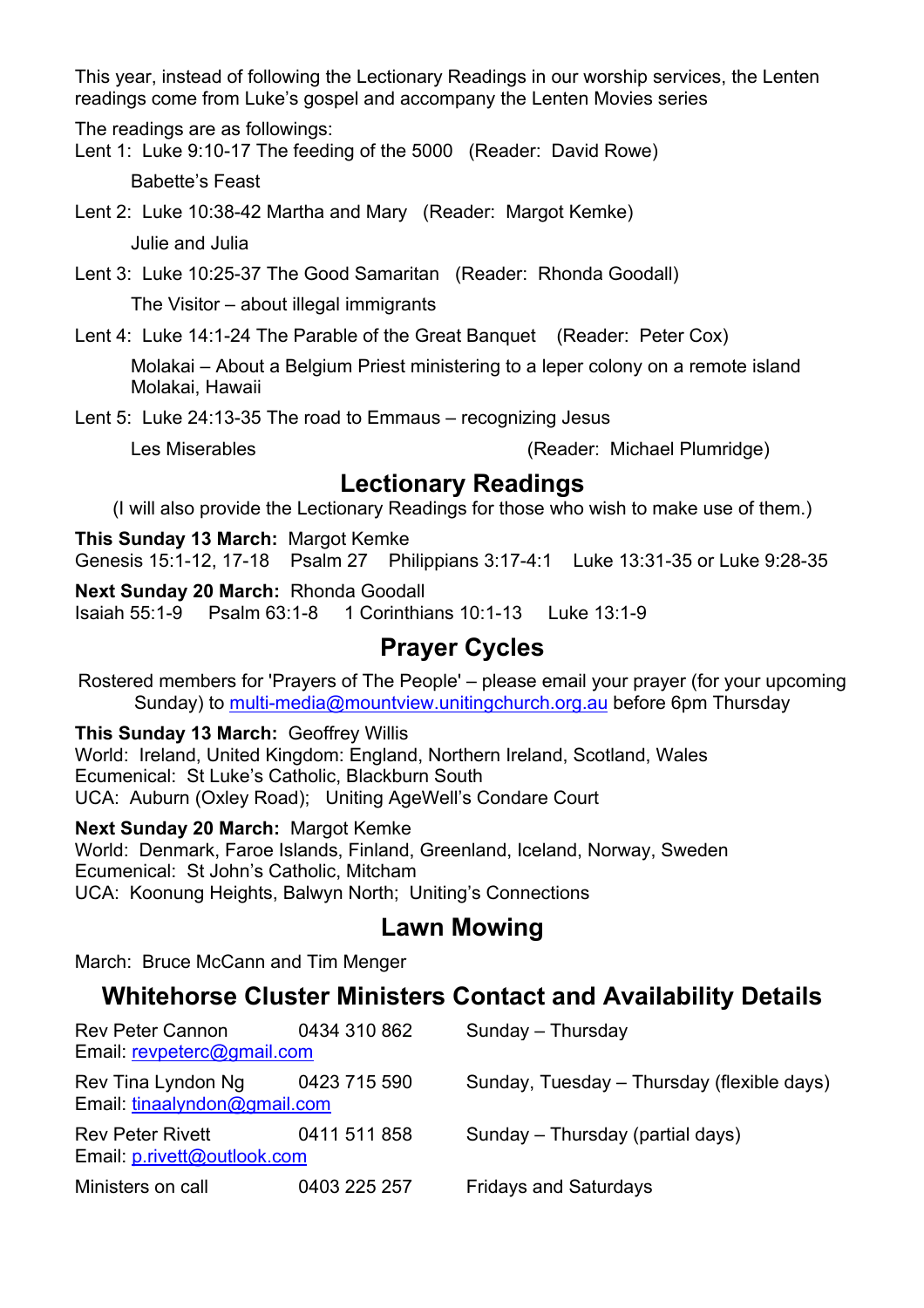This year, instead of following the Lectionary Readings in our worship services, the Lenten readings come from Luke's gospel and accompany the Lenten Movies series

The readings are as followings:

Lent 1: Luke 9:10-17 The feeding of the 5000 (Reader: David Rowe)

Babette's Feast

Lent 2: Luke 10:38-42 Martha and Mary (Reader: Margot Kemke)

Julie and Julia

Lent 3: Luke 10:25-37 The Good Samaritan (Reader: Rhonda Goodall)

The Visitor – about illegal immigrants

Lent 4: Luke 14:1-24 The Parable of the Great Banquet (Reader: Peter Cox)

Molakai – About a Belgium Priest ministering to a leper colony on a remote island Molakai, Hawaii

Lent 5: Luke 24:13-35 The road to Emmaus – recognizing Jesus

Les Miserables (Reader: Michael Plumridge)

### **Lectionary Readings**

(I will also provide the Lectionary Readings for those who wish to make use of them.)

**This Sunday 13 March:** Margot Kemke Genesis 15:1-12, 17-18 Psalm 27 Philippians 3:17-4:1 Luke 13:31-35 or Luke 9:28-35

**Next Sunday 20 March:** Rhonda Goodall Isaiah 55:1-9 Psalm 63:1-8 1 Corinthians 10:1-13 Luke 13:1-9

# **Prayer Cycles**

Rostered members for 'Prayers of The People' – please email your prayer (for your upcoming Sunday) to multi-media@mountview.unitingchurch.org.au before 6pm Thursday

**This Sunday 13 March:** Geoffrey Willis World: Ireland, United Kingdom: England, Northern Ireland, Scotland, Wales Ecumenical: St Luke's Catholic, Blackburn South UCA: Auburn (Oxley Road); Uniting AgeWell's Condare Court

**Next Sunday 20 March:** Margot Kemke World: Denmark, Faroe Islands, Finland, Greenland, Iceland, Norway, Sweden Ecumenical: St John's Catholic, Mitcham UCA: Koonung Heights, Balwyn North; Uniting's Connections

# **Lawn Mowing**

March: Bruce McCann and Tim Menger

# **Whitehorse Cluster Ministers Contact and Availability Details**

| <b>Rev Peter Cannon</b><br>Email: revpeterc@gmail.com           | 0434 310 862 | Sunday - Thursday                          |
|-----------------------------------------------------------------|--------------|--------------------------------------------|
| Rev Tina Lyndon Ng 0423 715 590<br>Email: tinaalyndon@gmail.com |              | Sunday, Tuesday - Thursday (flexible days) |
| <b>Rev Peter Rivett</b><br>Email: p.rivett@outlook.com          | 0411 511 858 | Sunday – Thursday (partial days)           |
| Ministers on call                                               | 0403 225 257 | <b>Fridays and Saturdays</b>               |